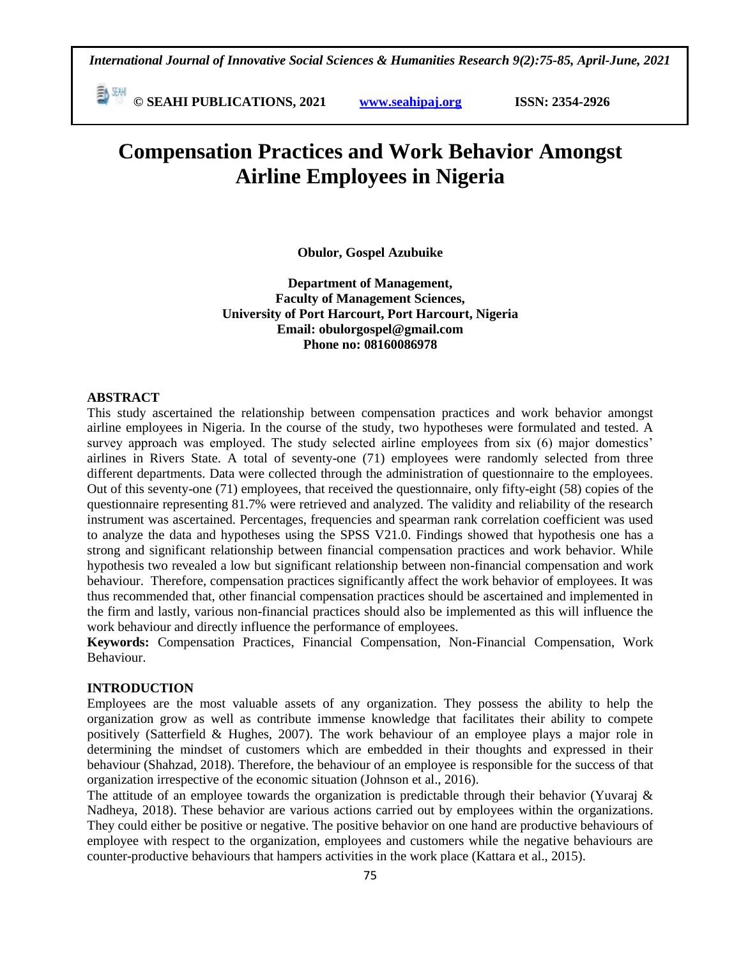**© SEAHI PUBLICATIONS, 2021 [www.seahipaj.org](http://www.seahipaj.org/) ISSN: 2354-2926** 

# **Compensation Practices and Work Behavior Amongst Airline Employees in Nigeria**

**Obulor, Gospel Azubuike**

**Department of Management, Faculty of Management Sciences, University of Port Harcourt, Port Harcourt, Nigeria Email: obulorgospel@gmail.com Phone no: 08160086978**

#### **ABSTRACT**

This study ascertained the relationship between compensation practices and work behavior amongst airline employees in Nigeria. In the course of the study, two hypotheses were formulated and tested. A survey approach was employed. The study selected airline employees from six (6) major domestics' airlines in Rivers State. A total of seventy-one (71) employees were randomly selected from three different departments. Data were collected through the administration of questionnaire to the employees. Out of this seventy-one (71) employees, that received the questionnaire, only fifty-eight (58) copies of the questionnaire representing 81.7% were retrieved and analyzed. The validity and reliability of the research instrument was ascertained. Percentages, frequencies and spearman rank correlation coefficient was used to analyze the data and hypotheses using the SPSS V21.0. Findings showed that hypothesis one has a strong and significant relationship between financial compensation practices and work behavior. While hypothesis two revealed a low but significant relationship between non-financial compensation and work behaviour. Therefore, compensation practices significantly affect the work behavior of employees. It was thus recommended that, other financial compensation practices should be ascertained and implemented in the firm and lastly, various non-financial practices should also be implemented as this will influence the work behaviour and directly influence the performance of employees.

**Keywords:** Compensation Practices, Financial Compensation, Non-Financial Compensation, Work Behaviour.

## **INTRODUCTION**

Employees are the most valuable assets of any organization. They possess the ability to help the organization grow as well as contribute immense knowledge that facilitates their ability to compete positively (Satterfield & Hughes, 2007). The work behaviour of an employee plays a major role in determining the mindset of customers which are embedded in their thoughts and expressed in their behaviour (Shahzad, 2018). Therefore, the behaviour of an employee is responsible for the success of that organization irrespective of the economic situation (Johnson et al., 2016).

The attitude of an employee towards the organization is predictable through their behavior (Yuvaraj  $\&$ Nadheya, 2018). These behavior are various actions carried out by employees within the organizations. They could either be positive or negative. The positive behavior on one hand are productive behaviours of employee with respect to the organization, employees and customers while the negative behaviours are counter-productive behaviours that hampers activities in the work place (Kattara et al., 2015).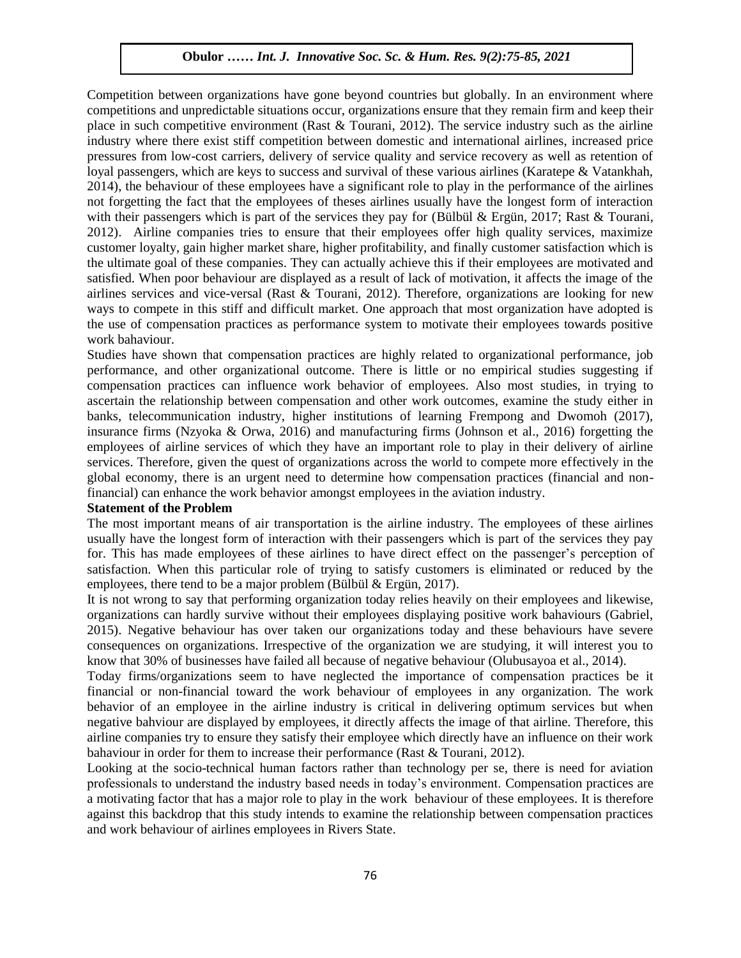Competition between organizations have gone beyond countries but globally. In an environment where competitions and unpredictable situations occur, organizations ensure that they remain firm and keep their place in such competitive environment (Rast & Tourani, 2012). The service industry such as the airline place in such competitive environment (Rast & Tourani, 2012). The service industry such as the airline industry where there exist stiff competition between domestic and international airlines, increased price pressures from low-cost carriers, delivery of service quality and service recovery as well as retention of loyal passengers, which are keys to success and survival of these various airlines (Karatepe & Vatankhah, Loyar passengers, which are keys to saccess and sarvival or these various arrifers (Karatepe & Vataminant, 2014), the behaviour of these employees have a significant role to play in the performance of the airlines not forgetting the fact that the employees of theses airlines usually have the longest form of interaction with their passengers which is part of the services they pay for (Bülbül & Ergün, 2017; Rast & Tourani, 2012). Airline companies tries to ensure that their employees offer high quality services, maximize customer loyalty, gain higher market share, higher profitability, and finally customer satisfaction which is expected. the ultimate goal of these companies. They can actually achieve this if their employees are motivated and satisfied. When poor behaviour are displayed as a result of lack of motivation, it affects the image of the airlines services and vice-versal (Rast & Tourani, 2012). Therefore, organizations are looking for new ways to compete in this stiff and difficult market. One approach that most organization have adopted is ways the use of compensation practices as performance system to motivate their employees towards positive work bahaviour.

Studies have shown that compensation practices are highly related to organizational performance, job performance, and other organizational outcome. There is little or no empirical studies suggesting if compensation practices can influence work behavior of employees. Also most studies, in trying to ascertain the relationship between compensation and other work outcomes, examine the study either in banks, telecommunication industry, higher institutions of learning Frempong and Dwomoh (2017), insurance firms (Nzyoka & Orwa, 2016) and manufacturing firms (Johnson et al., 2016) forgetting the employees of airline services of which they have an important role to play in their delivery of airline services. Therefore, given the quest of organizations across the world to compete more effectively in the global economy, there is an urgent need to determine how compensation practices (financial and nonfinancial) can enhance the work behavior amongst employees in the aviation industry.

#### **Statement of the Problem**

The most important means of air transportation is the airline industry. The employees of these airlines usually have the longest form of interaction with their passengers which is part of the services they pay for. This has made employees of these airlines to have direct effect on the passenger's perception of satisfaction. When this particular role of trying to satisfy customers is eliminated or reduced by the employees, there tend to be a major problem (Bülbül & Ergün, 2017).

It is not wrong to say that performing organization today relies heavily on their employees and likewise, organizations can hardly survive without their employees displaying positive work bahaviours (Gabriel, 2015). Negative behaviour has over taken our organizations today and these behaviours have severe consequences on organizations. Irrespective of the organization we are studying, it will interest you to know that 30% of businesses have failed all because of negative behaviour (Olubusayoa et al., 2014).

Today firms/organizations seem to have neglected the importance of compensation practices be it financial or non-financial toward the work behaviour of employees in any organization. The work behavior of an employee in the airline industry is critical in delivering optimum services but when negative bahviour are displayed by employees, it directly affects the image of that airline. Therefore, this airline companies try to ensure they satisfy their employee which directly have an influence on their work bahaviour in order for them to increase their performance (Rast & Tourani, 2012).

Looking at the socio-technical human factors rather than technology per se, there is need for aviation professionals to understand the industry based needs in today's environment. Compensation practices are a motivating factor that has a major role to play in the work behaviour of these employees. It is therefore against this backdrop that this study intends to examine the relationship between compensation practices and work behaviour of airlines employees in Rivers State.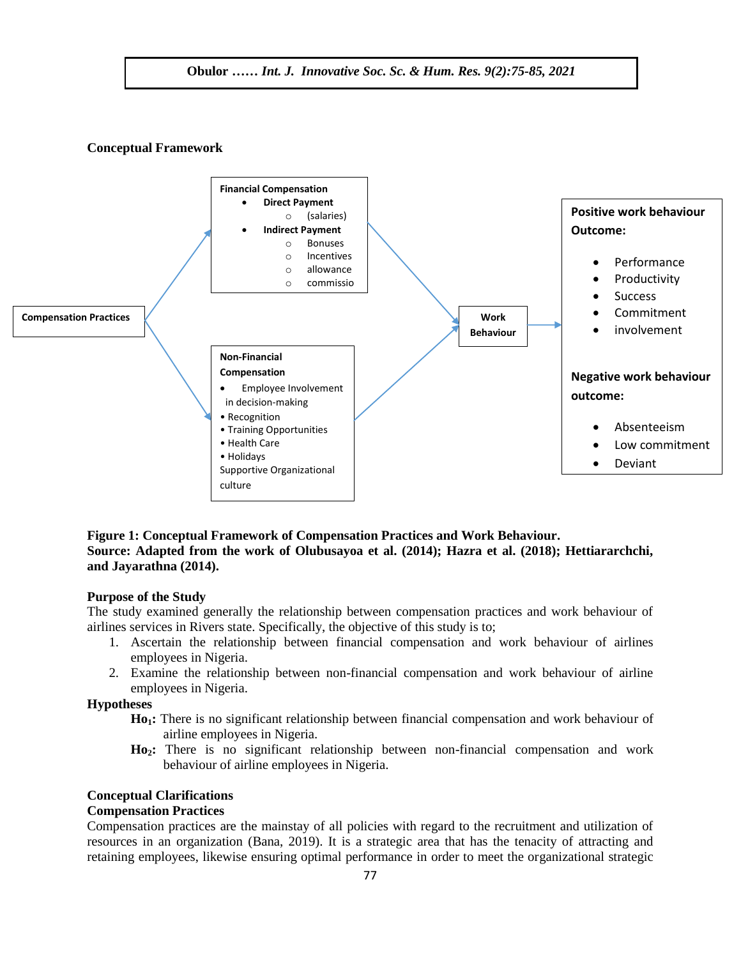#### **Conceptual Framework**



## **Figure 1: Conceptual Framework of Compensation Practices and Work Behaviour. Source: Adapted from the work of Olubusayoa et al. (2014); Hazra et al. (2018); Hettiararchchi, and Jayarathna (2014).**

#### **Purpose of the Study**

The study examined generally the relationship between compensation practices and work behaviour of airlines services in Rivers state. Specifically, the objective of this study is to;

- 1. Ascertain the relationship between financial compensation and work behaviour of airlines employees in Nigeria.
- 2. Examine the relationship between non-financial compensation and work behaviour of airline employees in Nigeria.

## **Hypotheses**

- **Ho1:** There is no significant relationship between financial compensation and work behaviour of airline employees in Nigeria.
- **Ho2:** There is no significant relationship between non-financial compensation and work behaviour of airline employees in Nigeria.

#### **Conceptual Clarifications**

#### **Compensation Practices**

Compensation practices are the mainstay of all policies with regard to the recruitment and utilization of resources in an organization (Bana, 2019). It is a strategic area that has the tenacity of attracting and retaining employees, likewise ensuring optimal performance in order to meet the organizational strategic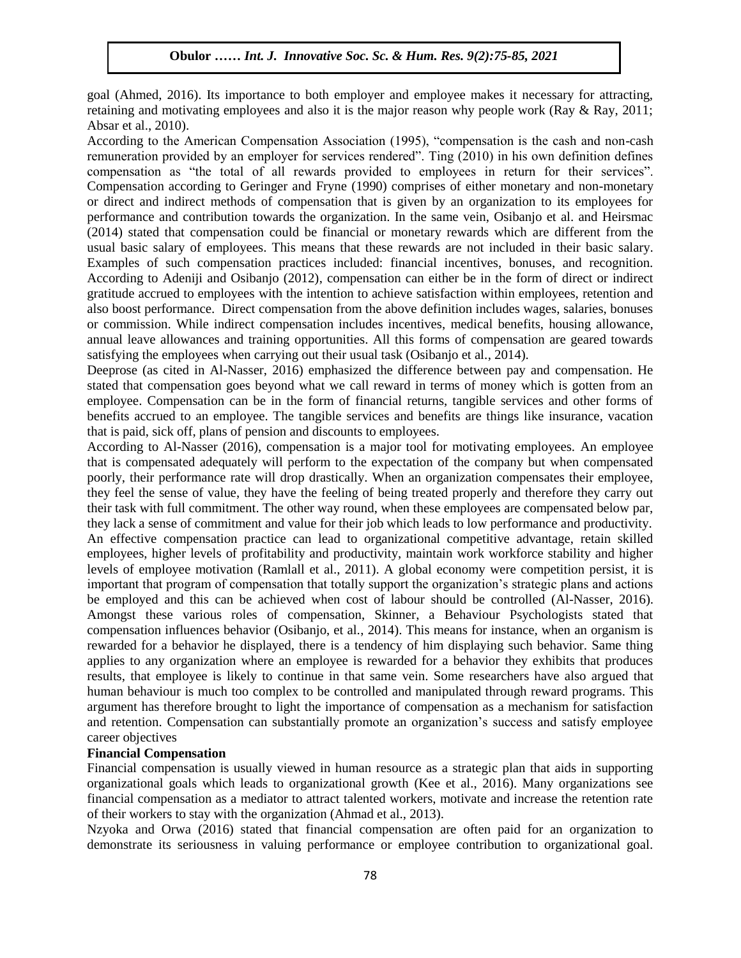goal (Ahmed, 2016). Its importance to both employer and employee makes it necessary for attracting, retaining and motivating employees and also it is the major reason why people work (Ray & Ray, 2011;  $\Lambda$ Absar et al., 2010).

According to the American Compensation Association (1995), "compensation is the cash and non-cash remuneration provided by an employer for services rendered". Ting (2010) in his own definition defines compensation as "the total of all rewards provided to employees in return for their services". compensation as the total of an rewards provided to employees in return for their services.<br>Compensation according to Geringer and Fryne (1990) comprises of either monetary and non-monetary or direct and indirect methods of compensation that is given by an organization to its employees for performance and contribution towards the organization. In the same vein, Osibanjo et al. and Heirsmac (2014) stated that compensation could be financial or monetary rewards which are different from the (2014) stated that compensation could be inflated of monetary rewards which are directly from the usual basic salary of employees. This means that these rewards are not included in their basic salary. Examples of such compensation practices included: financial incentives, bonuses, and recognition. According to Adeniji and Osibanjo (2012), compensation can either be in the form of direct or indirect gratitude accrued to employees with the intention to achieve satisfaction within employees, retention and gramulate accruce to emproyees with the intention to achieve satisfaction within emproyees, retention and also boost performance. Direct compensation from the above definition includes wages, salaries, bonuses or commission. While indirect compensation includes incentives, medical benefits, housing allowance, annual leave allowances and training opportunities. All this forms of compensation are geared towards satisfying the employees when carrying out their usual task (Osibanjo et al., 2014).

Satisfying the emproyees when earlying out their usuar task (Ssibanyo et al., 2014).<br>Deeprose (as cited in Al-Nasser, 2016) emphasized the difference between pay and compensation. He stated that compensation goes beyond what we call reward in terms of money which is gotten from an employee. Compensation can be in the form of financial returns, tangible services and other forms of benefits accrued to an employee. The tangible services and benefits are things like insurance, vacation that is paid, sick off, plans of pension and discounts to employees.

According to Al-Nasser (2016), compensation is a major tool for motivating employees. An employee that is compensated adequately will perform to the expectation of the company but when compensated poorly, their performance rate will drop drastically. When an organization compensates their employee, they feel the sense of value, they have the feeling of being treated properly and therefore they carry out they feel the sense of value, they have the feeling of being treated properly and therefore they carry out their task with full commitment. The other way round, when these employees are compensated below par, they lack a sense of commitment and value for their job which leads to low performance and productivity. An effective compensation practice can lead to organizational competitive advantage, retain skilled employees, higher levels of profitability and productivity, maintain work workforce stability and higher levels of employee motivation (Ramlall et al., 2011). A global economy were competition persist, it is important that program of compensation that totally support the organization's strategic plans and actions be employed and this can be achieved when cost of labour should be controlled (Al-Nasser, 2016). Amongst these various roles of compensation, Skinner, a Behaviour Psychologists stated that compensation influences behavior (Osibanjo, et al., 2014). This means for instance, when an organism is rewarded for a behavior he displayed, there is a tendency of him displaying such behavior. Same thing applies to any organization where an employee is rewarded for a behavior they exhibits that produces results, that employee is likely to continue in that same vein. Some researchers have also argued that human behaviour is much too complex to be controlled and manipulated through reward programs. This argument has therefore brought to light the importance of compensation as a mechanism for satisfaction and retention. Compensation can substantially promote an organization's success and satisfy employee career objectives

## **Financial Compensation**

Financial compensation is usually viewed in human resource as a strategic plan that aids in supporting organizational goals which leads to organizational growth (Kee et al., 2016). Many organizations see financial compensation as a mediator to attract talented workers, motivate and increase the retention rate of their workers to stay with the organization (Ahmad et al., 2013).

Nzyoka and Orwa (2016) stated that financial compensation are often paid for an organization to demonstrate its seriousness in valuing performance or employee contribution to organizational goal.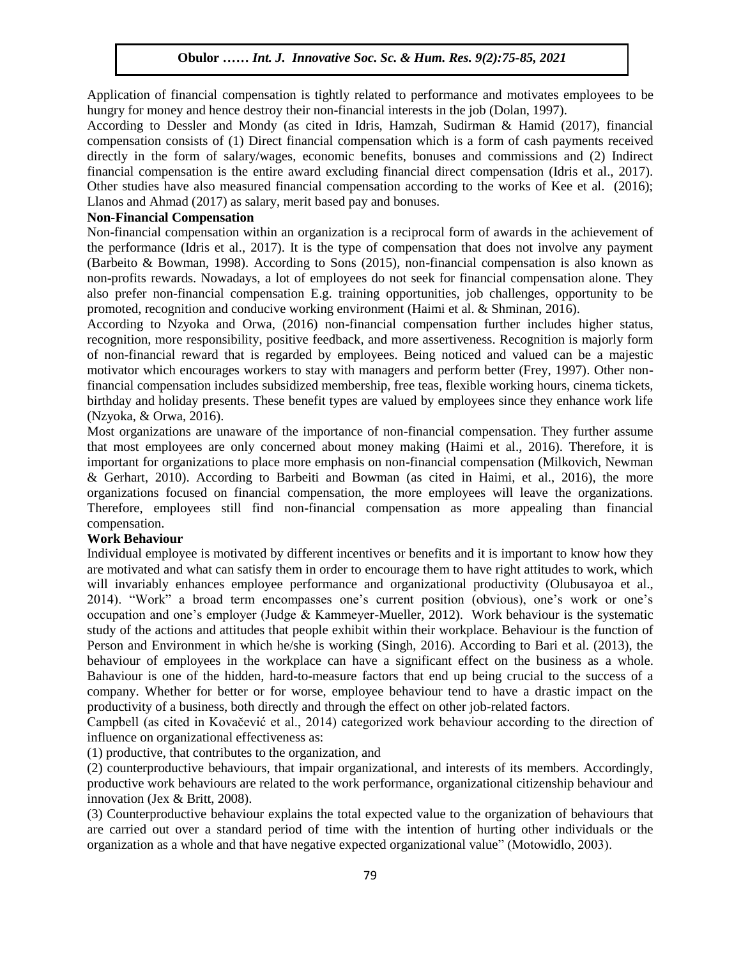Application of financial compensation is tightly related to performance and motivates employees to be hungry for money and hence destroy their non-financial interests in the job (Dolan, 1997).

hangry for money and hence desdby then non-middled interests in the job (Doldit, 1997).<br>According to Dessler and Mondy (as cited in Idris, Hamzah, Sudirman & Hamid (2017), financial compensation consists of (1) Direct financial compensation which is a form of cash payments received directly in the form of salary/wages, economic benefits, bonuses and commissions and (2) Indirect financial compensation is the entire award excluding financial direct compensation (Idris et al., 2017). Other studies have also measured financial compensation according to the works of Kee et al.  $(2016)$ ; Llanos and Ahmad (2017) as salary, merit based pay and bonuses.

## **Non-Financial Compensation**

Non-financial compensation within an organization is a reciprocal form of awards in the achievement of the performance (Idris et al., 2017). It is the type of compensation that does not involve any payment (Barbeito & Bowman, 1998). According to Sons (2015), non-financial compensation is also known as non-profits rewards. Nowadays, a lot of employees do not seek for financial compensation alone. They also prefer non-financial compensation E.g. training opportunities, job challenges, opportunity to be promoted, recognition and conducive working environment (Haimi et al. & Shminan, 2016).

According to Nzyoka and Orwa, (2016) non-financial compensation further includes higher status, recognition, more responsibility, positive feedback, and more assertiveness. Recognition is majorly form of non-financial reward that is regarded by employees. Being noticed and valued can be a majestic motivator which encourages workers to stay with managers and perform better (Frey, 1997). Other nonfinancial compensation includes subsidized membership, free teas, flexible working hours, cinema tickets, birthday and holiday presents. These benefit types are valued by employees since they enhance work life (Nzyoka, & Orwa, 2016).

Most organizations are unaware of the importance of non-financial compensation. They further assume that most employees are only concerned about money making (Haimi et al., 2016). Therefore, it is important for organizations to place more emphasis on non-financial compensation (Milkovich, Newman & Gerhart, 2010). According to Barbeiti and Bowman (as cited in Haimi, et al., 2016), the more organizations focused on financial compensation, the more employees will leave the organizations. Therefore, employees still find non-financial compensation as more appealing than financial compensation.

## **Work Behaviour**

Individual employee is motivated by different incentives or benefits and it is important to know how they are motivated and what can satisfy them in order to encourage them to have right attitudes to work, which will invariably enhances employee performance and organizational productivity (Olubusayoa et al., 2014). "Work" a broad term encompasses one's current position (obvious), one's work or one's occupation and one's employer (Judge & Kammeyer-Mueller, 2012). Work behaviour is the systematic study of the actions and attitudes that people exhibit within their workplace. Behaviour is the function of Person and Environment in which he/she is working (Singh, 2016). According to Bari et al. (2013), the behaviour of employees in the workplace can have a significant effect on the business as a whole. Bahaviour is one of the hidden, hard-to-measure factors that end up being crucial to the success of a company. Whether for better or for worse, employee behaviour tend to have a drastic impact on the productivity of a business, both directly and through the effect on other job-related factors.

Campbell (as cited in Kovačević et al., 2014) categorized work behaviour according to the direction of influence on organizational effectiveness as:

(1) productive, that contributes to the organization, and

(2) counterproductive behaviours, that impair organizational, and interests of its members. Accordingly, productive work behaviours are related to the work performance, organizational citizenship behaviour and innovation (Jex & Britt, 2008).

(3) Counterproductive behaviour explains the total expected value to the organization of behaviours that are carried out over a standard period of time with the intention of hurting other individuals or the organization as a whole and that have negative expected organizational value" (Motowidlo, 2003).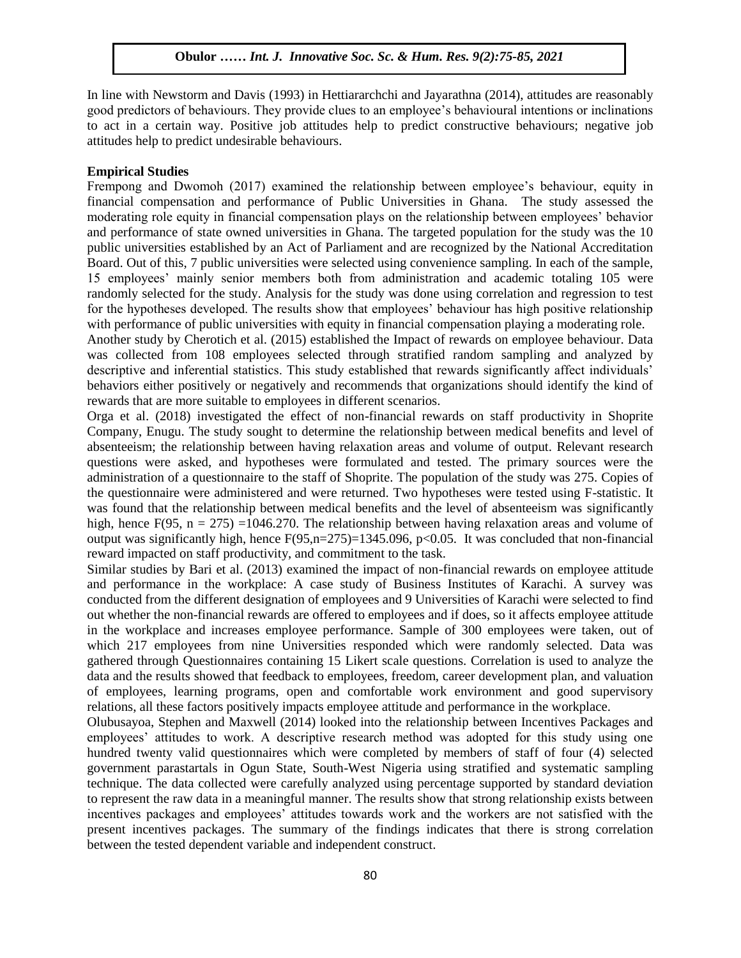In line with Newstorm and Davis (1993) in Hettiararchchi and Jayarathna (2014), attitudes are reasonably good predictors of behaviours. They provide clues to an employee's behavioural intentions or inclinations good predictors of ochaviours. They provide claes to an employee s behavioural intentions of memations<br>to act in a certain way. Positive job attitudes help to predict constructive behaviours; negative job attitudes help to predict undesirable behaviours.

## **Empirical Studies**

Empirical Statics<br>Frempong and Dwomoh (2017) examined the relationship between employee's behaviour, equity in financial compensation and performance of Public Universities in Ghana. The study assessed the moderating role equity in financial compensation plays on the relationship between employees' behavior and performance of state owned universities in Ghana. The targeted population for the study was the 10 public universities established by an Act of Parliament and are recognized by the National Accreditation public Board. Out of this, 7 public universities were selected using convenience sampling. In each of the sample, 15 employees' mainly senior members both from administration and academic totaling 105 were randomly selected for the study. Analysis for the study was done using correlation and regression to test for the hypotheses developed. The results show that employees' behaviour has high positive relationship for the hypotheses developed. The results show that employees' behaviour has high positive relationship with performance of public universities with equity in financial compensation playing a moderating role.

Another study by Cherotich et al. (2015) established the Impact of rewards on employee behaviour. Data was collected from 108 employees selected through stratified random sampling and analyzed by descriptive and inferential statistics. This study established that rewards significantly affect individuals' behaviors either positively or negatively and recommends that organizations should identify the kind of rewards that are more suitable to employees in different scenarios.

Orga et al. (2018) investigated the effect of non-financial rewards on staff productivity in Shoprite Company, Enugu. The study sought to determine the relationship between medical benefits and level of absenteeism; the relationship between having relaxation areas and volume of output. Relevant research questions were asked, and hypotheses were formulated and tested. The primary sources were the administration of a questionnaire to the staff of Shoprite. The population of the study was 275. Copies of the questionnaire were administered and were returned. Two hypotheses were tested using F-statistic. It also were tested using F-statistic. was found that the relationship between medical benefits and the level of absenteeism was significantly high, hence F(95,  $n = 275$ ) =1046.270. The relationship between having relaxation areas and volume of output was significantly high, hence  $F(95,n=275)=1345.096$ ,  $p<0.05$ . It was concluded that non-financial reward impacted on staff productivity, and commitment to the task.

Similar studies by Bari et al. (2013) examined the impact of non-financial rewards on employee attitude and performance in the workplace: A case study of Business Institutes of Karachi. A survey was conducted from the different designation of employees and 9 Universities of Karachi were selected to find out whether the non-financial rewards are offered to employees and if does, so it affects employee attitude in the workplace and increases employee performance. Sample of 300 employees were taken, out of which 217 employees from nine Universities responded which were randomly selected. Data was gathered through Questionnaires containing 15 Likert scale questions. Correlation is used to analyze the data and the results showed that feedback to employees, freedom, career development plan, and valuation of employees, learning programs, open and comfortable work environment and good supervisory relations, all these factors positively impacts employee attitude and performance in the workplace.

Olubusayoa, Stephen and Maxwell (2014) looked into the relationship between Incentives Packages and employees' attitudes to work. A descriptive research method was adopted for this study using one hundred twenty valid questionnaires which were completed by members of staff of four (4) selected government parastartals in Ogun State, South-West Nigeria using stratified and systematic sampling technique. The data collected were carefully analyzed using percentage supported by standard deviation to represent the raw data in a meaningful manner. The results show that strong relationship exists between incentives packages and employees' attitudes towards work and the workers are not satisfied with the present incentives packages. The summary of the findings indicates that there is strong correlation between the tested dependent variable and independent construct.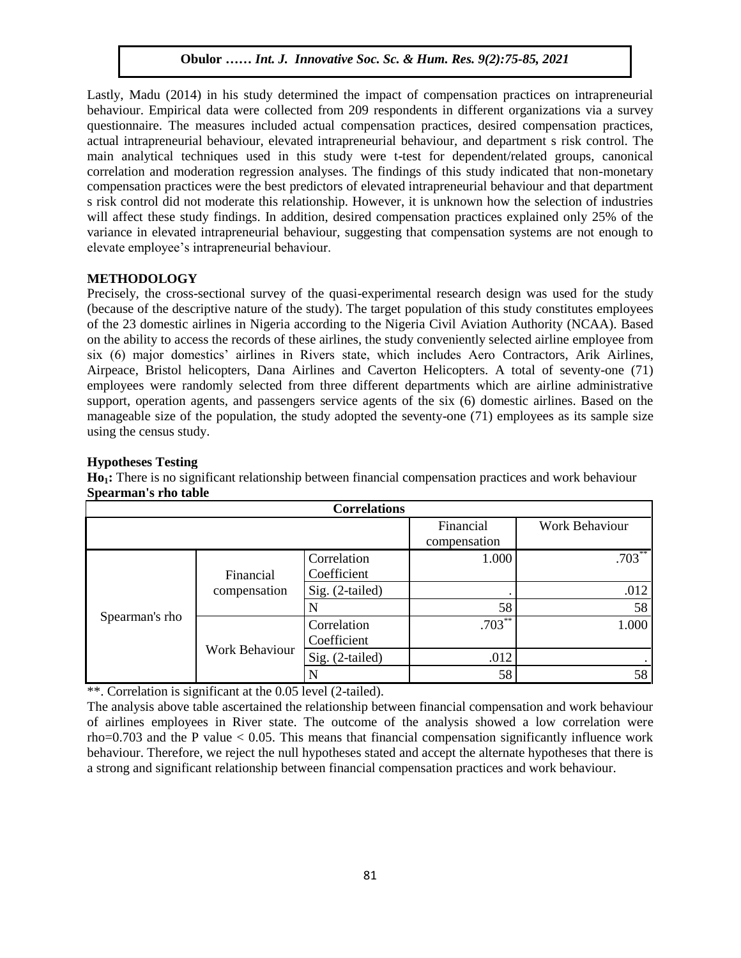Lastly, Madu (2014) in his study determined the impact of compensation practices on intrapreneurial behaviour. Empirical data were collected from 209 respondents in different organizations via a survey questionnaire. The measures included actual compensation practices, desired compensation practices, actual intrapreneurial behaviour, elevated intrapreneurial behaviour, and department s risk control. The main analytical techniques used in this study were t-test for dependent/related groups, canonical correlation and moderation regression analyses. The findings of this study indicated that non-monetary compensation practices were the best predictors of elevated intrapreneurial behaviour and that department s risk control did not moderate this relationship. However, it is unknown how the selection of industries will affect these study findings. In addition, desired compensation practices explained only 25% of the variance in elevated intrapreneurial behaviour, suggesting that compensation systems are not enough to elevate employee's intrapreneurial behaviour.

## **METHODOLOGY**

Precisely, the cross-sectional survey of the quasi-experimental research design was used for the study  $\alpha$  (because of the descriptive nature of the study). The target population of this study constitutes employees of the 23 domestic airlines in Nigeria according to the Nigeria Civil Aviation Authority (NCAA). Based on the ability to access the records of these airlines, the study conveniently selected airline employee from six (6) major domestics' airlines in Rivers state, which includes Aero Contractors, Arik Airlines, Airpeace, Bristol helicopters, Dana Airlines and Caverton Helicopters. A total of seventy-one (71) employees were randomly selected from three different departments which are airline administrative support, operation agents, and passengers service agents of the six (6) domestic airlines. Based on the manageable size of the population, the study adopted the seventy-one (71) employees as its sample size  $using the census study.$ 

## **Hypotheses Testing**

**Ho1:** There is no significant relationship between financial compensation practices and work behaviour **Spearman's rho table** 

| <b>Correlations</b> |                           |                            |                       |           |  |  |  |  |
|---------------------|---------------------------|----------------------------|-----------------------|-----------|--|--|--|--|
|                     |                           | Financial<br>compensation  | <b>Work Behaviour</b> |           |  |  |  |  |
|                     |                           |                            |                       |           |  |  |  |  |
| Spearman's rho      | Financial<br>compensation | Correlation<br>Coefficient | 1.000                 | $.703***$ |  |  |  |  |
|                     |                           |                            |                       |           |  |  |  |  |
|                     |                           | Sig. (2-tailed)            |                       | .012      |  |  |  |  |
|                     |                           |                            | 58                    | 58        |  |  |  |  |
|                     | <b>Work Behaviour</b>     | Correlation                | $.703^{**}$           | 1.000     |  |  |  |  |
|                     |                           | Coefficient                |                       |           |  |  |  |  |
|                     |                           | Sig. (2-tailed)            | .012                  |           |  |  |  |  |
|                     |                           |                            | 58                    | 58        |  |  |  |  |

\*\*. Correlation is significant at the 0.05 level (2-tailed).

The analysis above table ascertained the relationship between financial compensation and work behaviour of airlines employees in River state. The outcome of the analysis showed a low correlation were rho=0.703 and the P value  $< 0.05$ . This means that financial compensation significantly influence work behaviour. Therefore, we reject the null hypotheses stated and accept the alternate hypotheses that there is a strong and significant relationship between financial compensation practices and work behaviour.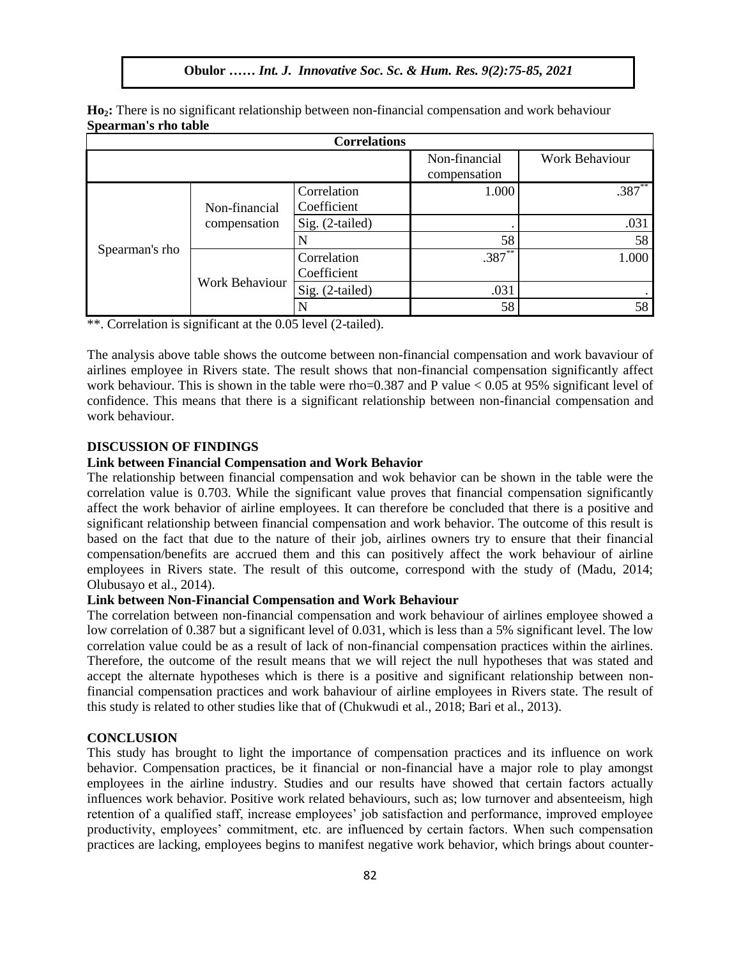| Spearman s rho table |                               |                            |                               |                       |  |  |  |  |
|----------------------|-------------------------------|----------------------------|-------------------------------|-----------------------|--|--|--|--|
| <b>Correlations</b>  |                               |                            |                               |                       |  |  |  |  |
|                      |                               |                            | Non-financial<br>compensation | <b>Work Behaviour</b> |  |  |  |  |
| Spearman's rho       | Non-financial<br>compensation | Correlation<br>Coefficient | 1.000                         | $.387***$             |  |  |  |  |
|                      |                               | Sig. (2-tailed)            |                               | .031                  |  |  |  |  |
|                      |                               | N                          | 58                            | 58                    |  |  |  |  |
|                      | Work Behaviour                | Correlation<br>Coefficient | $.387**$                      | 1.000                 |  |  |  |  |
|                      |                               | Sig. (2-tailed)            | .031                          |                       |  |  |  |  |
|                      |                               | N                          | 58                            | 58                    |  |  |  |  |

**Ho2:** There is no significant relationship between non-financial compensation and work behaviour **Spearman's rho table**

 $\frac{1}{20}$  \*\*. Correlation is significant at the 0.05 level (2-tailed).

The analysis above table shows the outcome between non-financial compensation and work bavaviour of airlines employee in Rivers state. The result shows that non-financial compensation significantly affect arinnes employee in Kryers state. The result shows that non-rinancial compensation significantly arrect work behaviour. This is shown in the table were rho=0.387 and P value  $< 0.05$  at 95% significant level of confidence. This means that there is a significant relationship between non-financial compensation and work behaviour.

## **DISCUSSION OF FINDINGS**

#### **Link between Financial Compensation and Work Behavior**

The relationship between financial compensation and wok behavior can be shown in the table were the correlation value is 0.703. While the significant value proves that financial compensation significantly affect the work behavior of airline employees. It can therefore be concluded that there is a positive and affect the work behavior of airline employees. It can therefore be concluded that there is a positive and significant relationship between financial compensation and work behavior. The outcome of this result is based on the fact that due to the nature of their job, airlines owners try to ensure that their financial compensation/benefits are accrued them and this can positively affect the work behaviour of airline employees in Rivers state. The result of this outcome, correspond with the study of (Madu, 2014; Olubusayo et al., 2014).

## **Link between Non-Financial Compensation and Work Behaviour**

The correlation between non-financial compensation and work behaviour of airlines employee showed a low correlation of 0.387 but a significant level of 0.031, which is less than a 5% significant level. The low correlation value could be as a result of lack of non-financial compensation practices within the airlines. Therefore, the outcome of the result means that we will reject the null hypotheses that was stated and accept the alternate hypotheses which is there is a positive and significant relationship between nonfinancial compensation practices and work bahaviour of airline employees in Rivers state. The result of this study is related to other studies like that of (Chukwudi et al., 2018; Bari et al., 2013).

## **CONCLUSION**

This study has brought to light the importance of compensation practices and its influence on work behavior. Compensation practices, be it financial or non-financial have a major role to play amongst employees in the airline industry. Studies and our results have showed that certain factors actually influences work behavior. Positive work related behaviours, such as; low turnover and absenteeism, high retention of a qualified staff, increase employees' job satisfaction and performance, improved employee productivity, employees' commitment, etc. are influenced by certain factors. When such compensation practices are lacking, employees begins to manifest negative work behavior, which brings about counter-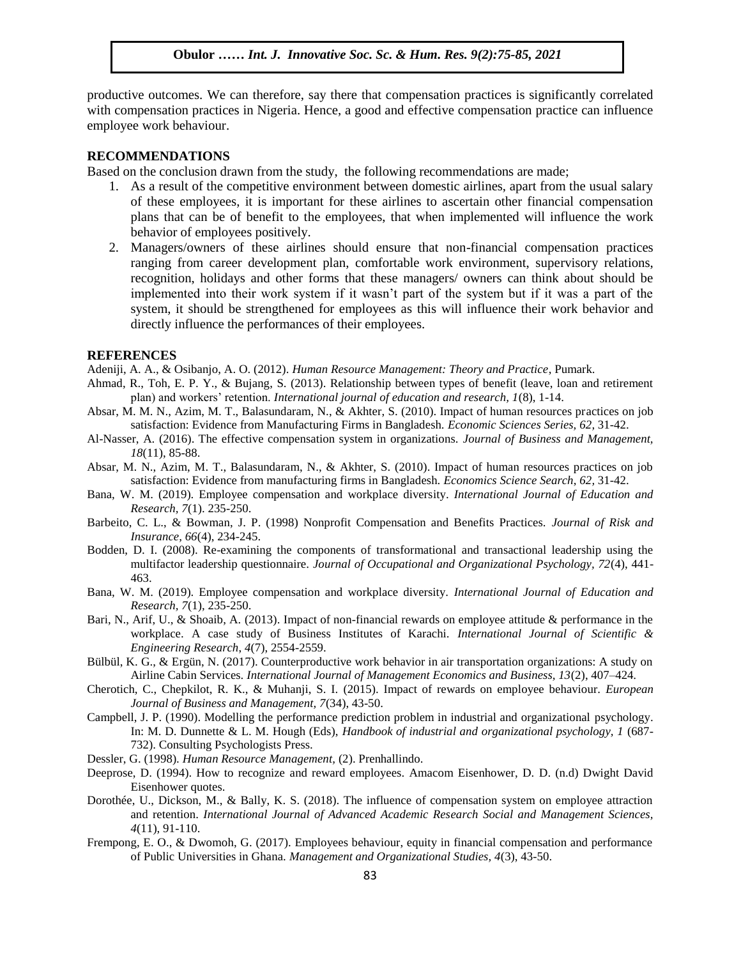productive outcomes. We can therefore, say there that compensation practices is significantly correlated with compensation practices in Nigeria. Hence, a good and effective compensation practice can influence employee work behaviour.

#### **RECOMMENDATIONS**

Based on the conclusion drawn from the study, the following recommendations are made;

- Equipment of the conclusion drawn from the study, the following recommendations are made,<br>1. As a result of the competitive environment between domestic airlines, apart from the usual salary of these employees, it is important for these airlines to ascertain other financial compensation plans that can be of benefit to the employees, that when implemented will influence the work behavior of employees positively.
- behavior of employees positively.<br>2. Managers/owners of these airlines should ensure that non-financial compensation practices ranging from career development plan, comfortable work environment, supervisory relations, recognition, holidays and other forms that these managers/ owners can think about should be implemented into their work system if it wasn't part of the system but if it was a part of the implemented into their work system if it wash I part of the system out if it was a part of the system, it should be strengthened for employees as this will influence their work behavior and directly influence the performances of their employees.

#### **REFERENCES**

**ALT EXENCES**<br>Adeniji, A. A., & Osibanjo, A. O. (2012). *Human Resource Management: Theory and Practice*, Pumark.

- Ahmad, R., Toh, E. P. Y., & Bujang, S. (2013). Relationship between types of benefit (leave, loan and retirement plan) and workers' retention. *International journal of education and research, 1*(8), 1-14.
- Absar, M. M. N., Azim, M. T., Balasundaram, N., & Akhter, S. (2010). Impact of human resources practices on job satisfaction: Evidence from Manufacturing Firms in Bangladesh. *Economic Sciences Series*, 62, 31-42.
- Al-Nasser, A. (2016). The effective compensation system in organizations. *Journal of Business and Management, 18*(11), 85-88.
- Absar, M. N., Azim, M. T., Balasundaram, N., & Akhter, S. (2010). Impact of human resources practices on job satisfaction: Evidence from manufacturing firms in Bangladesh. *Economics Science Search*, *62, 31-42*.
- Bana, W. M. (2019). Employee compensation and workplace diversity. *International Journal of Education and Research, 7*(1). 235-250.
- Barbeito, C. L., & Bowman, J. P. (1998) Nonprofit Compensation and Benefits Practices. *Journal of Risk and Insurance, 66*(4), 234-245.
- Bodden, D. I. (2008). Re-examining the components of transformational and transactional leadership using the multifactor leadership questionnaire. *Journal of Occupational and Organizational Psychology, 72*(4), 441- 463.
- Bana, W. M. (2019). Employee compensation and workplace diversity. *International Journal of Education and Research, 7*(1), 235-250.
- Bari, N., Arif, U., & Shoaib, A. (2013). Impact of non-financial rewards on employee attitude & performance in the workplace. A case study of Business Institutes of Karachi. *International Journal of Scientific & Engineering Research*, *4*(7), 2554-2559.
- Bülbül, K. G., & Ergün, N. (2017). Counterproductive work behavior in air transportation organizations: A study on Airline Cabin Services. *International Journal of Management Economics and Business, 13*(2), 407–424*.*
- Cherotich, C., Chepkilot, R. K., & Muhanji, S. I. (2015). Impact of rewards on employee behaviour. *European Journal of Business and Management, 7*(34), 43-50.
- Campbell, J. P. (1990). Modelling the performance prediction problem in industrial and organizational psychology. In: M. D. Dunnette & L. M. Hough (Eds), *Handbook of industrial and organizational psychology, 1* (687- 732). Consulting Psychologists Press.
- Dessler, G. (1998). *Human Resource Management,* (2). Prenhallindo.
- Deeprose, D. (1994). How to recognize and reward employees. Amacom Eisenhower, D. D. (n.d) Dwight David Eisenhower quotes.
- Dorothée, U., Dickson, M., & Bally, K. S. (2018). The influence of compensation system on employee attraction and retention. *International Journal of Advanced Academic Research Social and Management Sciences, 4*(11), 91-110.
- Frempong, E. O., & Dwomoh, G. (2017). Employees behaviour, equity in financial compensation and performance of Public Universities in Ghana. *Management and Organizational Studies, 4*(3), 43-50.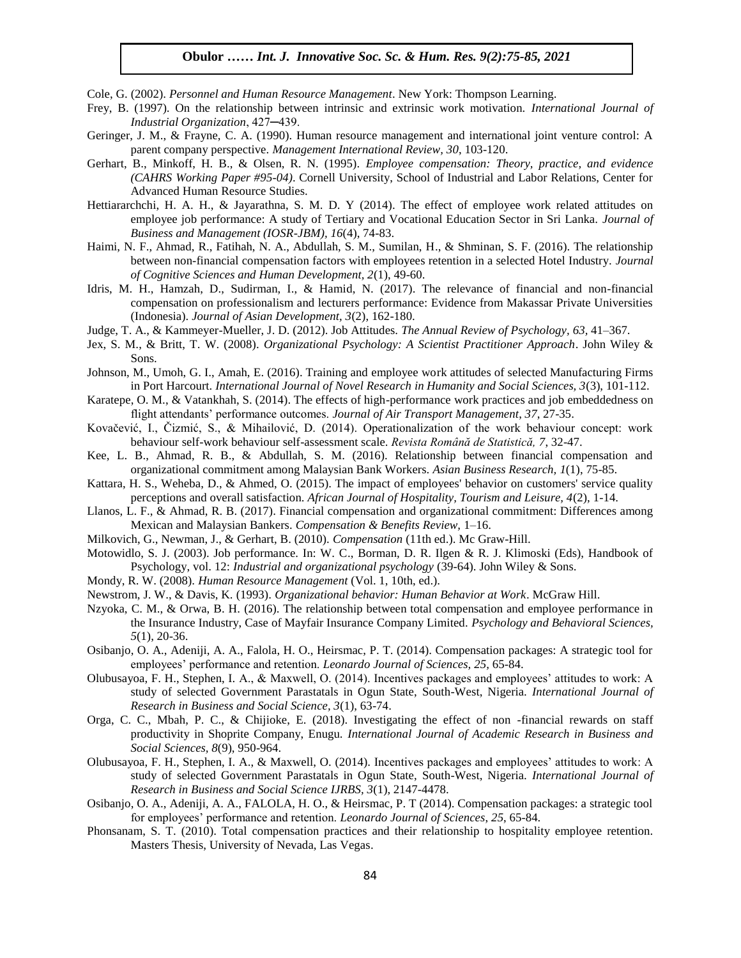Cole, G. (2002). *Personnel and Human Resource Management*. New York: Thompson Learning.

- Frey, B. (1997). On the relationship between intrinsic and extrinsic work motivation. *International Journal of Industrial Organization*, 427—439.
- Geringer, J. M., & Frayne, C. A. (1990). Human resource management and international joint venture control: A parent company perspective. *Management International Review, 30*, 103-120.
- Gerhart, B., Minkoff, H. B., & Olsen, R. N. (1995). *Employee compensation: Theory, practice, and evidence*  (CAHRS Working Paper #95-04). Cornell University, School of Industrial and Labor Relations, Center for Advanced Human Resource Studies.
- Hettiararchchi, H. A. H., & Jayarathna, S. M. D. Y (2014). The effect of employee work related attitudes on employee job performance: A study of Tertiary and Vocational Education Sector in Sri Lanka. *Journal of Business and Management (IOSR-JBM), 16*(4), 74-83.
- Haimi, N. F., Ahmad, R., Fatihah, N. A., Abdullah, S. M., Sumilan, H., & Shminan, S. F. (2016). The relationship between non-financial compensation factors with employees retention in a selected Hotel Industry. *Journal of Cognitive Sciences and Human Development, 2*(1), 49-60.
- Idris, M. H., Hamzah, D., Sudirman, I., & Hamid, N. (2017). The relevance of financial and non-financial compensation on professionalism and lecturers performance: Evidence from Makassar Private Universities (Indonesia). *Journal of Asian Development, 3*(2), 162-180.
- Judge, T. A., & Kammeyer-Mueller, J. D. (2012). Job Attitudes. *The Annual Review of Psychology, 63,* 41–367.
- Jex, S. M., & Britt, T. W. (2008). *Organizational Psychology: A Scientist Practitioner Approach*. John Wiley & Sons.
- Sons.<br>Johnson, M., Umoh, G. I., Amah, E. (2016). Training and employee work attitudes of selected Manufacturing Firms in Port Harcourt. *International Journal of Novel Research in Humanity and Social Sciences, 3*(3), 101-112.
- Karatepe, O. M., & Vatankhah, S. (2014). The effects of high-performance work practices and job embeddedness on flight attendants' performance outcomes. *Journal of Air Transport Management*, *37*, 27-35.
- Kovačević, I., Čizmić, S., & Mihailović, D. (2014). Operationalization of the work behaviour concept: work behaviour self-work behaviour self-assessment scale. *Revista Română de Statistică, 7*, 32-47.
- Kee, L. B., Ahmad, R. B., & Abdullah, S. M. (2016). Relationship between financial compensation and organizational commitment among Malaysian Bank Workers. *Asian Business Research, 1*(1), 75-85.
- Kattara, H. S., Weheba, D., & Ahmed, O. (2015). The impact of employees' behavior on customers' service quality perceptions and overall satisfaction. *African Journal of Hospitality, Tourism and Leisure, 4*(2), 1-14.
- Llanos, L. F., & Ahmad, R. B. (2017). Financial compensation and organizational commitment: Differences among Mexican and Malaysian Bankers. *Compensation & Benefits Review,* 1–16.
- Milkovich, G., Newman, J., & Gerhart, B. (2010). *Compensation* (11th ed.). Mc Graw-Hill.
- Motowidlo, S. J. (2003). Job performance. In: W. C., Borman, D. R. Ilgen & R. J. Klimoski (Eds), Handbook of Psychology, vol. 12: *Industrial and organizational psychology* (39-64). John Wiley & Sons.
- Mondy, R. W. (2008). *Human Resource Management* (Vol. 1, 10th, ed.).
- Newstrom, J. W., & Davis, K. (1993). *Organizational behavior: Human Behavior at Work*. McGraw Hill.
- Nzyoka, C. M., & Orwa, B. H. (2016). The relationship between total compensation and employee performance in the Insurance Industry, Case of Mayfair Insurance Company Limited. *Psychology and Behavioral Sciences, 5*(1), 20-36.
- Osibanjo, O. A., Adeniji, A. A., Falola, H. O., Heirsmac, P. T. (2014). Compensation packages: A strategic tool for employees' performance and retention. *Leonardo Journal of Sciences, 25,* 65-84.
- Olubusayoa, F. H., Stephen, I. A., & Maxwell, O. (2014). Incentives packages and employees' attitudes to work: A study of selected Government Parastatals in Ogun State, South-West, Nigeria. *International Journal of Research in Business and Social Science, 3*(1), 63-74.
- Orga, C. C., Mbah, P. C., & Chijioke, E. (2018). Investigating the effect of non -financial rewards on staff productivity in Shoprite Company, Enugu. *International Journal of Academic Research in Business and Social Sciences, 8*(9), 950-964.
- Olubusayoa, F. H., Stephen, I. A., & Maxwell, O. (2014). Incentives packages and employees' attitudes to work: A study of selected Government Parastatals in Ogun State, South-West, Nigeria. *International Journal of Research in Business and Social Science IJRBS, 3*(1), 2147-4478.
- Osibanjo, O. A., Adeniji, A. A., FALOLA, H. O., & Heirsmac, P. T (2014). Compensation packages: a strategic tool for employees' performance and retention. *Leonardo Journal of Sciences*, *25*, 65-84.
- Phonsanam, S. T. (2010). Total compensation practices and their relationship to hospitality employee retention. Masters Thesis, University of Nevada, Las Vegas.